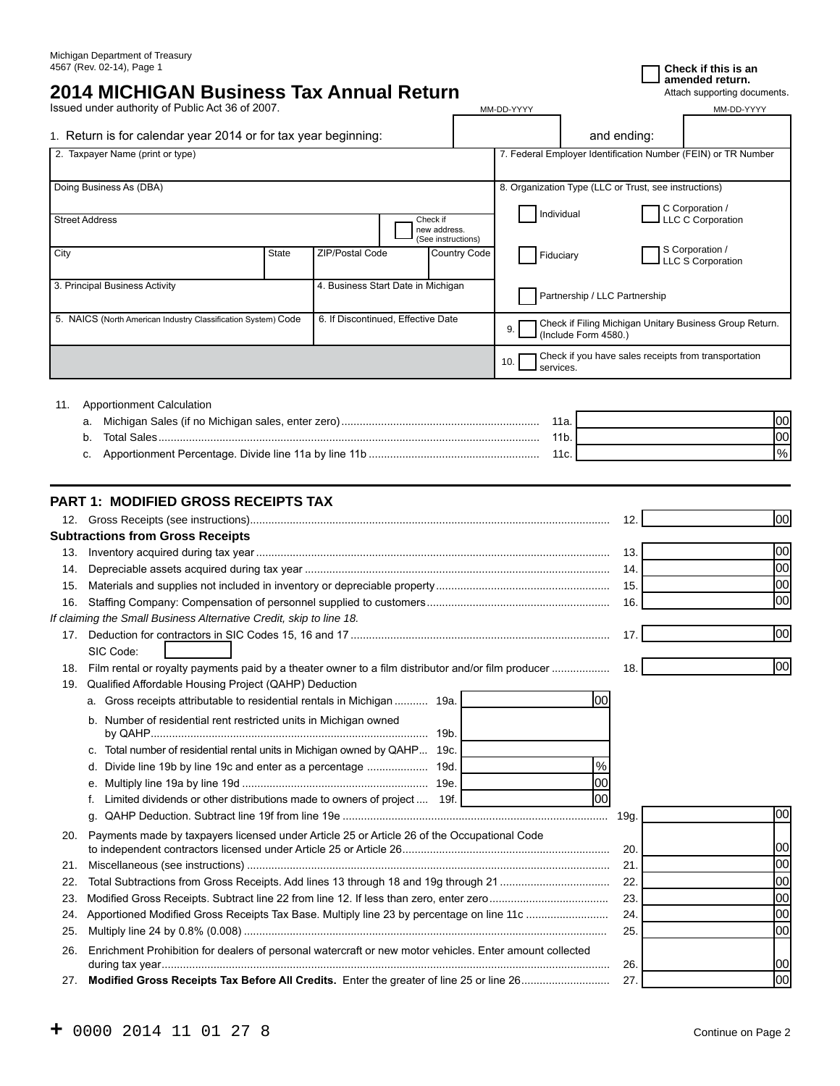# **2014 MICHIGAN Business Tax Annual Return**<br>Issued under authority of Public Act 36 of 2007.<br>MM-DD-YYYY MM-DD-YYYY

3. Principal Business Activity **1988** 1991 12. Business Start Date in Michigan

Issued under authority of Public Act 36 of 2007.

|  |  |  | 1. Return is for calendar year 2014 or for tax year beginning |  |  |  |  |  |  |  |
|--|--|--|---------------------------------------------------------------|--|--|--|--|--|--|--|
|--|--|--|---------------------------------------------------------------|--|--|--|--|--|--|--|

| 1. Return is for calendar year 2014 or for tax year beginning: |       | and ending:            |                                    |              |           |                                                                                        |                                      |  |  |
|----------------------------------------------------------------|-------|------------------------|------------------------------------|--------------|-----------|----------------------------------------------------------------------------------------|--------------------------------------|--|--|
| 2. Taxpayer Name (print or type)                               |       |                        |                                    |              |           | 7. Federal Employer Identification Number (FEIN) or TR Number                          |                                      |  |  |
| Doing Business As (DBA)                                        |       |                        |                                    |              |           | 8. Organization Type (LLC or Trust, see instructions)<br>C Corporation /<br>Individual |                                      |  |  |
| <b>Street Address</b><br>Check if                              |       |                        | new address.<br>(See instructions) |              |           | LLC C Corporation                                                                      |                                      |  |  |
| City                                                           | State | <b>ZIP/Postal Code</b> |                                    | Country Code | Fiduciary |                                                                                        | S Corporation /<br>LLC S Corporation |  |  |

Partnership / LLC Partnership

| 5. NAICS (North American Industry Classification System) Code | 6. If Discontinued, Effective Date | Check if Filing Michigan Unitary Business Group Return.<br>(Include Form 4580.)<br>9. |
|---------------------------------------------------------------|------------------------------------|---------------------------------------------------------------------------------------|
|                                                               |                                    | □ Check if you have sales receipts from transportation<br>10.<br>services.            |
| <b>Apportionment Calculation</b><br>11.                       |                                    |                                                                                       |

| <b>Total Sales</b> |               |
|--------------------|---------------|
|                    | $\frac{9}{6}$ |

## **PART 1: MODIFIED GROSS RECEIPTS TAX**

|     |                                                                                                         | 12.  | lool |
|-----|---------------------------------------------------------------------------------------------------------|------|------|
|     | <b>Subtractions from Gross Receipts</b>                                                                 |      |      |
| 13. |                                                                                                         | 13.  | loo  |
| 14. |                                                                                                         | 14.  | 00   |
| 15. |                                                                                                         | 15.  | loo  |
| 16. |                                                                                                         | 16.  | 00   |
|     | If claiming the Small Business Alternative Credit, skip to line 18.                                     |      |      |
| 17. |                                                                                                         | 17.  | lool |
|     | SIC Code:                                                                                               |      |      |
| 18. | Film rental or royalty payments paid by a theater owner to a film distributor and/or film producer      | 18.  | 00   |
| 19. | Qualified Affordable Housing Project (QAHP) Deduction                                                   |      |      |
|     | 00<br>a. Gross receipts attributable to residential rentals in Michigan  19a.                           |      |      |
|     | b. Number of residential rent restricted units in Michigan owned                                        |      |      |
|     | 19b.                                                                                                    |      |      |
|     | c. Total number of residential rental units in Michigan owned by QAHP 19c.                              |      |      |
|     | $\%$<br>d. Divide line 19b by line 19c and enter as a percentage<br>19d.                                |      |      |
|     | 00                                                                                                      |      |      |
|     | lool<br>Limited dividends or other distributions made to owners of project 19f.                         |      |      |
|     | α.                                                                                                      | 19g. | 100  |
| 20. | Payments made by taxpayers licensed under Article 25 or Article 26 of the Occupational Code             |      |      |
|     |                                                                                                         | 20.  | 100  |
| 21. |                                                                                                         | 21.  | 00   |
| 22. |                                                                                                         | 22.  | loo  |
| 23. |                                                                                                         | 23.  | 00   |
| 24. |                                                                                                         | 24.  | 00   |
| 25. |                                                                                                         | 25.  | loo  |
| 26. | Enrichment Prohibition for dealers of personal watercraft or new motor vehicles. Enter amount collected |      |      |
|     |                                                                                                         | 26.  | 100  |
| 27. |                                                                                                         | 27.  | lool |

**amended return.**<br>Attach supporting documents.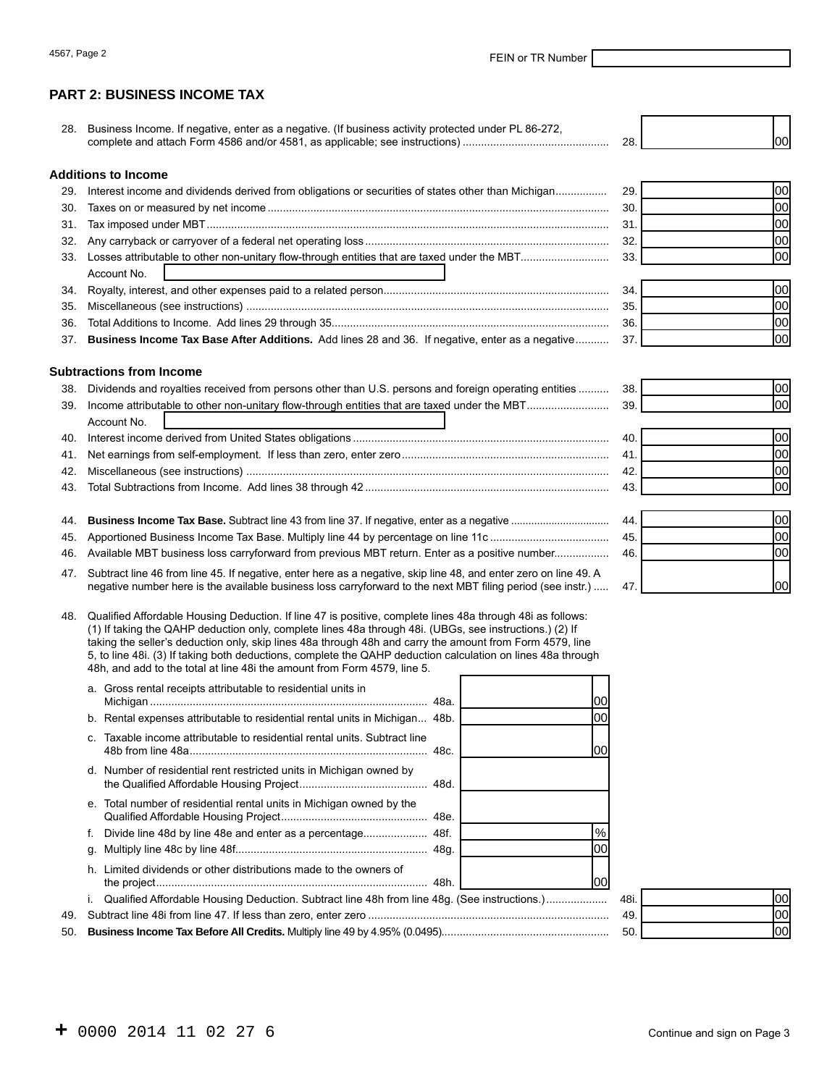## **PART 2: BUSINESS INCOME TAX**

| 28. | Business Income. If negative, enter as a negative. (If business activity protected under PL 86-272,                                                                                                                                | 28. | 100l |
|-----|------------------------------------------------------------------------------------------------------------------------------------------------------------------------------------------------------------------------------------|-----|------|
|     | <b>Additions to Income</b>                                                                                                                                                                                                         |     |      |
| 29. | Interest income and dividends derived from obligations or securities of states other than Michigan                                                                                                                                 | 29. | 1001 |
| 30. |                                                                                                                                                                                                                                    | 30. | 00   |
| 31. |                                                                                                                                                                                                                                    | 31. | lool |
| 32. |                                                                                                                                                                                                                                    | 32. | 00   |
| 33. |                                                                                                                                                                                                                                    | 33. | lool |
|     | Account No.                                                                                                                                                                                                                        |     |      |
| 34. |                                                                                                                                                                                                                                    | 34. | 00   |
| 35. |                                                                                                                                                                                                                                    | 35. | lool |
| 36. |                                                                                                                                                                                                                                    | 36. | lool |
| 37. | Business Income Tax Base After Additions. Add lines 28 and 36. If negative, enter as a negative                                                                                                                                    | 37. | lool |
|     |                                                                                                                                                                                                                                    |     |      |
|     | <b>Subtractions from Income</b>                                                                                                                                                                                                    |     |      |
| 38. | Dividends and royalties received from persons other than U.S. persons and foreign operating entities                                                                                                                               | 38. | 00   |
| 39. |                                                                                                                                                                                                                                    | 39. | lool |
|     | Account No.                                                                                                                                                                                                                        |     |      |
| 40. |                                                                                                                                                                                                                                    | 40. | 00   |
| 41. |                                                                                                                                                                                                                                    | 41. | 00   |
| 42. |                                                                                                                                                                                                                                    | 42. | 00   |
| 43. |                                                                                                                                                                                                                                    | 43. | 00   |
| 44. |                                                                                                                                                                                                                                    | 44. | 00   |
| 45. |                                                                                                                                                                                                                                    | 45. | lool |
|     | Available MBT business loss carryforward from previous MBT return. Enter as a positive number                                                                                                                                      | 46. | 00   |
|     | $\bullet$ is the contract of the contract of the contract of the contract of the contract of the contract of the contract of the contract of the contract of the contract of the contract of the contract of the contract of the c |     |      |

- 47. Subtract line 46 from line 45. If negative, enter here as a negative, skip line 48, and enter zero on line 49. A negative number here is the available business loss carryforward to the next MBT filing period (see instr.) ..... 47.
- 48. Qualified Affordable Housing Deduction. If line 47 is positive, complete lines 48a through 48i as follows: (1) If taking the QAHP deduction only, complete lines 48a through 48i. (UBGs, see instructions.) (2) If taking the seller's deduction only, skip lines 48a through 48h and carry the amount from Form 4579, line 5, to line 48i. (3) If taking both deductions, complete the QAHP deduction calculation on lines 48a through 48h, and add to the total at line 48i the amount from Form 4579, line 5. r ┯

| 50. |                                                                                                 |     | 50   | 100 |
|-----|-------------------------------------------------------------------------------------------------|-----|------|-----|
| 49. |                                                                                                 |     | 49   | 100 |
|     | i. Qualified Affordable Housing Deduction. Subtract line 48h from line 48g. (See instructions.) |     | 48i. | 100 |
|     | h. Limited dividends or other distributions made to the owners of                               | 100 |      |     |
|     |                                                                                                 |     |      |     |
|     |                                                                                                 |     |      |     |
|     | e. Total number of residential rental units in Michigan owned by the                            |     |      |     |
|     | d. Number of residential rent restricted units in Michigan owned by                             |     |      |     |
|     | c. Taxable income attributable to residential rental units. Subtract line                       |     |      |     |
|     | b. Rental expenses attributable to residential rental units in Michigan 48b.                    | OC  |      |     |
|     | a. Gross rental receipts attributable to residential units in                                   | OC  |      |     |

| 48i. |  |
|------|--|
| 49.  |  |
| 50.  |  |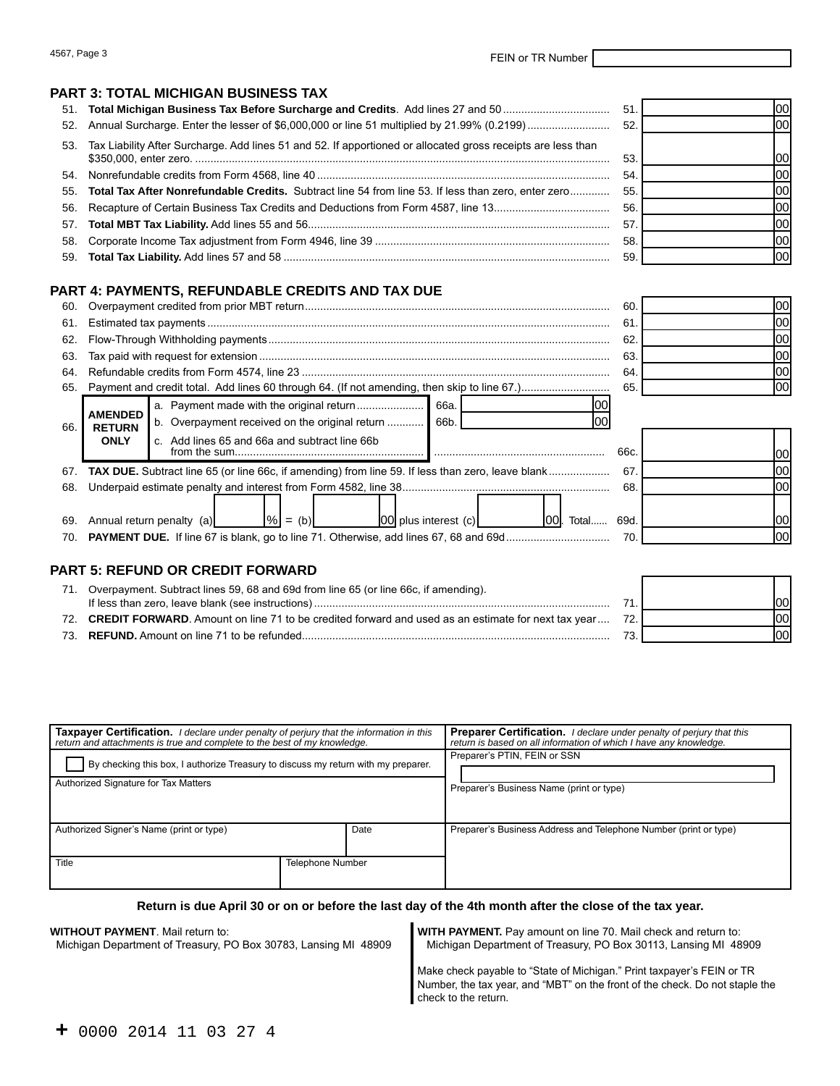٦

r

## **PART 3: TOTAL MICHIGAN BUSINESS TAX**

|                                                                                                                  | 52. | 100 |
|------------------------------------------------------------------------------------------------------------------|-----|-----|
| 53. Tax Liability After Surcharge. Add lines 51 and 52. If apportioned or allocated gross receipts are less than | 53  |     |
|                                                                                                                  | 54  |     |
| 55. Total Tax After Nonrefundable Credits. Subtract line 54 from line 53. If less than zero, enter zero          | 55  |     |
|                                                                                                                  | 56  |     |
|                                                                                                                  | 57  |     |
|                                                                                                                  | 58  |     |
|                                                                                                                  | 59  |     |

## **PART 4: PAYMENTS, REFUNDABLE CREDITS AND TAX DUE**

| 60. |                                                                                          |                                                                                                                        | 60   |     |  |  |
|-----|------------------------------------------------------------------------------------------|------------------------------------------------------------------------------------------------------------------------|------|-----|--|--|
| 61. |                                                                                          |                                                                                                                        | 61   |     |  |  |
| 62. |                                                                                          |                                                                                                                        | 62.  | 100 |  |  |
| 63. |                                                                                          |                                                                                                                        | 63   | 100 |  |  |
| 64. |                                                                                          |                                                                                                                        | 64.  | 100 |  |  |
|     |                                                                                          |                                                                                                                        | 65.  | 100 |  |  |
| 66. | <b>AMENDED</b><br><b>RETURN</b><br><b>ONLY</b>                                           | 66a.<br>66b.<br>b. Overpayment received on the original return<br>100<br>c. Add lines 65 and 66a and subtract line 66b | 66c. |     |  |  |
| 67. |                                                                                          | <b>TAX DUE.</b> Subtract line 65 (or line 66c, if amending) from line 59. If less than zero, leave blank               | 67   |     |  |  |
| 68. | 100<br>68.                                                                               |                                                                                                                        |      |     |  |  |
| 69. | Annual return penalty (a) $ %  = (b) $ (b) $ 00 $ plus interest (c)<br>00. Total<br>69d. |                                                                                                                        |      |     |  |  |
|     | 100<br>70.                                                                               |                                                                                                                        |      |     |  |  |
|     |                                                                                          |                                                                                                                        |      |     |  |  |

# **PART 5: REFUND OR CREDIT FORWARD**

| 71. | Overpayment. Subtract lines 59, 68 and 69d from line 65 (or line 66c, if amending).                    |     |      |
|-----|--------------------------------------------------------------------------------------------------------|-----|------|
|     |                                                                                                        |     |      |
|     | 72. CREDIT FORWARD. Amount on line 71 to be credited forward and used as an estimate for next tax year | 72. | lool |
|     | 73. REFUND. Amount on line 71 to be refunded                                                           |     |      |

| <b>Taxpayer Certification.</b> I declare under penalty of perjury that the information in this<br>return and attachments is true and complete to the best of my knowledge. |  | <b>Preparer Certification.</b> I declare under penalty of perjury that this<br>return is based on all information of which I have any knowledge. |                                                                  |
|----------------------------------------------------------------------------------------------------------------------------------------------------------------------------|--|--------------------------------------------------------------------------------------------------------------------------------------------------|------------------------------------------------------------------|
| By checking this box, I authorize Treasury to discuss my return with my preparer.                                                                                          |  | Preparer's PTIN, FEIN or SSN                                                                                                                     |                                                                  |
| Authorized Signature for Tax Matters                                                                                                                                       |  | Preparer's Business Name (print or type)                                                                                                         |                                                                  |
| Authorized Signer's Name (print or type)                                                                                                                                   |  | Date                                                                                                                                             | Preparer's Business Address and Telephone Number (print or type) |
| Title<br><b>Telephone Number</b>                                                                                                                                           |  |                                                                                                                                                  |                                                                  |

### **Return is due April 30 or on or before the last day of the 4th month after the close of the tax year.**

#### **WITHOUT PAYMENT**. Mail return to:

Michigan Department of Treasury, PO Box 30783, Lansing MI 48909

**WITH PAYMENT.** Pay amount on line 70. Mail check and return to: Michigan Department of Treasury, PO Box 30113, Lansing MI 48909

Make check payable to "State of Michigan." Print taxpayer's FEIN or TR Number, the tax year, and "MBT" on the front of the check. Do not staple the check to the return.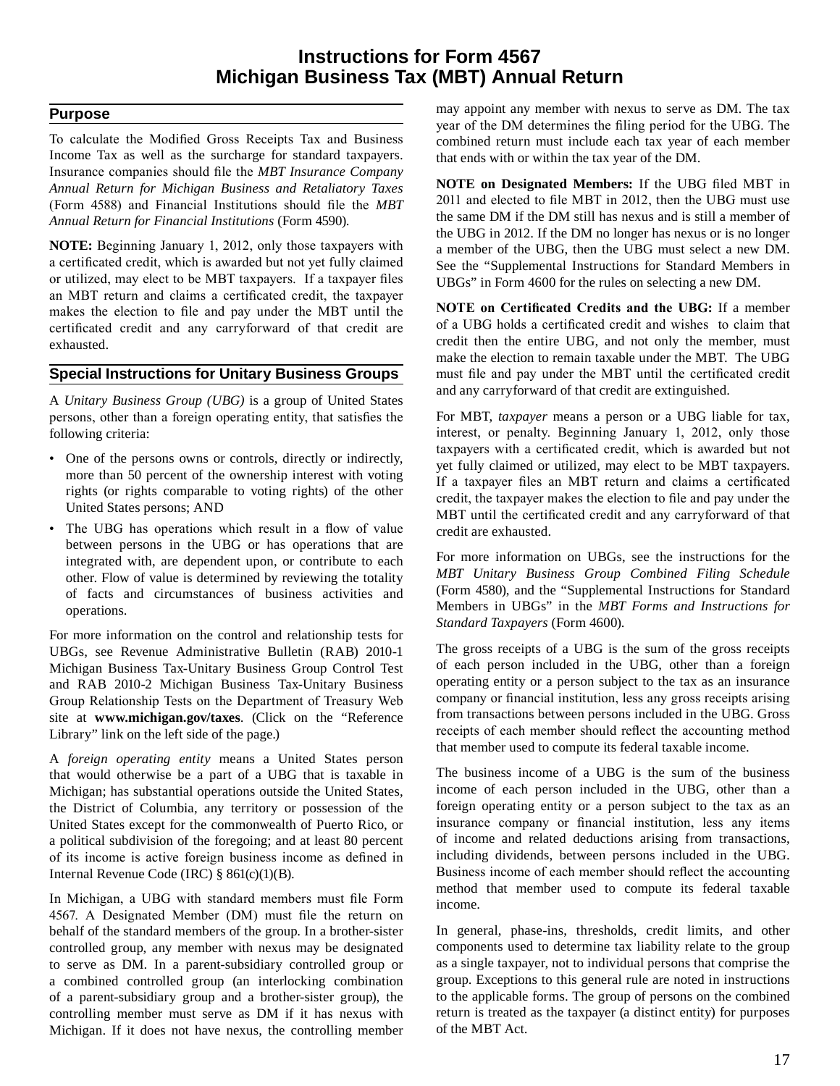# **Instructions for Form 4567 Michigan Business Tax (MBT) Annual Return**

# **Purpose**

To calculate the Modified Gross Receipts Tax and Business Income Tax as well as the surcharge for standard taxpayers. Insurance companies should file the *MBT Insurance Company Annual Return for Michigan Business and Retaliatory Taxes* (Form 4588) and Financial Institutions should file the *MBT Annual Return for Financial Institutions* (Form 4590).

**NOTE:** Beginning January 1, 2012, only those taxpayers with a certificated credit, which is awarded but not yet fully claimed or utilized, may elect to be MBT taxpayers. If a taxpayer files an MBT return and claims a certificated credit, the taxpayer makes the election to file and pay under the MBT until the certificated credit and any carryforward of that credit are exhausted.

## **Special Instructions for Unitary Business Groups**

A *Unitary Business Group (UBG)* is a group of United States persons, other than a foreign operating entity, that satisfies the following criteria:

- One of the persons owns or controls, directly or indirectly, more than 50 percent of the ownership interest with voting rights (or rights comparable to voting rights) of the other United States persons; AND
- The UBG has operations which result in a flow of value between persons in the UBG or has operations that are integrated with, are dependent upon, or contribute to each other. Flow of value is determined by reviewing the totality of facts and circumstances of business activities and operations.

For more information on the control and relationship tests for UBGs, see Revenue Administrative Bulletin (RAB) 2010-1 Michigan Business Tax-Unitary Business Group Control Test and RAB 2010-2 Michigan Business Tax-Unitary Business Group Relationship Tests on the Department of Treasury Web site at **www.michigan.gov/taxes**. (Click on the "Reference Library" link on the left side of the page.)

A *foreign operating entity* means a United States person that would otherwise be a part of a UBG that is taxable in Michigan; has substantial operations outside the United States, the District of Columbia, any territory or possession of the United States except for the commonwealth of Puerto Rico, or a political subdivision of the foregoing; and at least 80 percent of its income is active foreign business income as defined in Internal Revenue Code (IRC) § 861(c)(1)(B).

In Michigan, a UBG with standard members must file Form 4567. A Designated Member (DM) must file the return on behalf of the standard members of the group. In a brother-sister controlled group, any member with nexus may be designated to serve as DM. In a parent-subsidiary controlled group or a combined controlled group (an interlocking combination of a parent-subsidiary group and a brother-sister group), the controlling member must serve as DM if it has nexus with Michigan. If it does not have nexus, the controlling member

may appoint any member with nexus to serve as DM. The tax year of the DM determines the filing period for the UBG. The combined return must include each tax year of each member that ends with or within the tax year of the DM.

**NOTE on Designated Members:** If the UBG filed MBT in 2011 and elected to file MBT in 2012, then the UBG must use the same DM if the DM still has nexus and is still a member of the UBG in 2012. If the DM no longer has nexus or is no longer a member of the UBG, then the UBG must select a new DM. See the "Supplemental Instructions for Standard Members in UBGs" in Form 4600 for the rules on selecting a new DM.

**NOTE on Certificated Credits and the UBG:** If a member of a UBG holds a certificated credit and wishes to claim that credit then the entire UBG, and not only the member, must make the election to remain taxable under the MBT. The UBG must file and pay under the MBT until the certificated credit and any carryforward of that credit are extinguished.

For MBT, *taxpayer* means a person or a UBG liable for tax, interest, or penalty. Beginning January 1, 2012, only those taxpayers with a certificated credit, which is awarded but not yet fully claimed or utilized, may elect to be MBT taxpayers. If a taxpayer files an MBT return and claims a certificated credit, the taxpayer makes the election to file and pay under the MBT until the certificated credit and any carryforward of that credit are exhausted.

For more information on UBGs, see the instructions for the *MBT Unitary Business Group Combined Filing Schedule* (Form 4580), and the "Supplemental Instructions for Standard Members in UBGs" in the *MBT Forms and Instructions for Standard Taxpayers* (Form 4600).

The gross receipts of a UBG is the sum of the gross receipts of each person included in the UBG, other than a foreign operating entity or a person subject to the tax as an insurance company or financial institution, less any gross receipts arising from transactions between persons included in the UBG. Gross receipts of each member should reflect the accounting method that member used to compute its federal taxable income.

The business income of a UBG is the sum of the business income of each person included in the UBG, other than a foreign operating entity or a person subject to the tax as an insurance company or financial institution, less any items of income and related deductions arising from transactions, including dividends, between persons included in the UBG. Business income of each member should reflect the accounting method that member used to compute its federal taxable income.

In general, phase-ins, thresholds, credit limits, and other components used to determine tax liability relate to the group as a single taxpayer, not to individual persons that comprise the group. Exceptions to this general rule are noted in instructions to the applicable forms. The group of persons on the combined return is treated as the taxpayer (a distinct entity) for purposes of the MBT Act.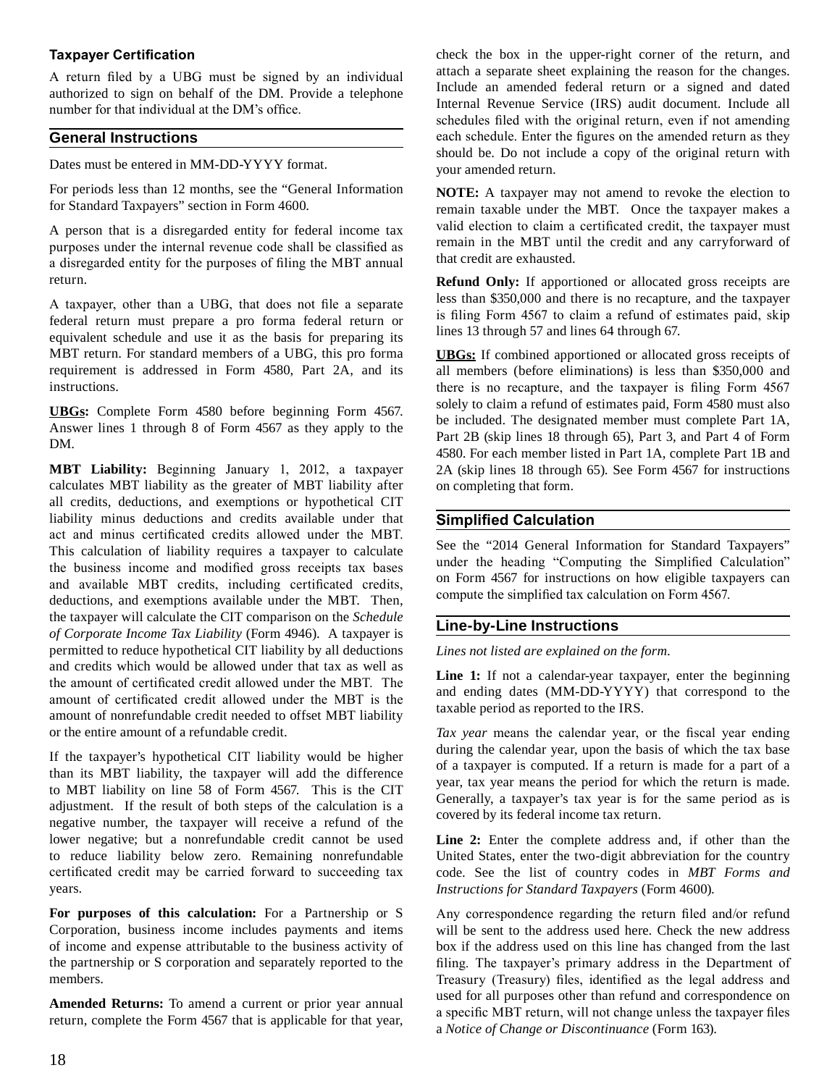## **Taxpayer Certification**

A return filed by a UBG must be signed by an individual authorized to sign on behalf of the DM. Provide a telephone number for that individual at the DM's office.

## **General Instructions**

Dates must be entered in MM-DD-YYYY format.

For periods less than 12 months, see the "General Information for Standard Taxpayers" section in Form 4600.

A person that is a disregarded entity for federal income tax purposes under the internal revenue code shall be classified as a disregarded entity for the purposes of filing the MBT annual return.

A taxpayer, other than a UBG, that does not file a separate federal return must prepare a pro forma federal return or equivalent schedule and use it as the basis for preparing its MBT return. For standard members of a UBG, this pro forma requirement is addressed in Form 4580, Part 2A, and its instructions.

**UBGs:** Complete Form 4580 before beginning Form 4567. Answer lines 1 through 8 of Form 4567 as they apply to the DM.

**MBT Liability:** Beginning January 1, 2012, a taxpayer calculates MBT liability as the greater of MBT liability after all credits, deductions, and exemptions or hypothetical CIT liability minus deductions and credits available under that act and minus certificated credits allowed under the MBT. This calculation of liability requires a taxpayer to calculate the business income and modified gross receipts tax bases and available MBT credits, including certificated credits, deductions, and exemptions available under the MBT. Then, the taxpayer will calculate the CIT comparison on the *Schedule of Corporate Income Tax Liability* (Form 4946). A taxpayer is permitted to reduce hypothetical CIT liability by all deductions and credits which would be allowed under that tax as well as the amount of certificated credit allowed under the MBT. The amount of certificated credit allowed under the MBT is the amount of nonrefundable credit needed to offset MBT liability or the entire amount of a refundable credit.

If the taxpayer's hypothetical CIT liability would be higher than its MBT liability, the taxpayer will add the difference to MBT liability on line 58 of Form 4567. This is the CIT adjustment. If the result of both steps of the calculation is a negative number, the taxpayer will receive a refund of the lower negative; but a nonrefundable credit cannot be used to reduce liability below zero. Remaining nonrefundable certificated credit may be carried forward to succeeding tax years.

**For purposes of this calculation:** For a Partnership or S Corporation, business income includes payments and items of income and expense attributable to the business activity of the partnership or S corporation and separately reported to the members.

**Amended Returns:** To amend a current or prior year annual return, complete the Form 4567 that is applicable for that year, check the box in the upper-right corner of the return, and attach a separate sheet explaining the reason for the changes. Include an amended federal return or a signed and dated Internal Revenue Service (IRS) audit document. Include all schedules filed with the original return, even if not amending each schedule. Enter the figures on the amended return as they should be. Do not include a copy of the original return with your amended return.

**NOTE:** A taxpayer may not amend to revoke the election to remain taxable under the MBT. Once the taxpayer makes a valid election to claim a certificated credit, the taxpayer must remain in the MBT until the credit and any carryforward of that credit are exhausted.

**Refund Only:** If apportioned or allocated gross receipts are less than \$350,000 and there is no recapture, and the taxpayer is filing Form 4567 to claim a refund of estimates paid, skip lines 13 through 57 and lines 64 through 67.

**UBGs:** If combined apportioned or allocated gross receipts of all members (before eliminations) is less than \$350,000 and there is no recapture, and the taxpayer is filing Form 4567 solely to claim a refund of estimates paid, Form 4580 must also be included. The designated member must complete Part 1A, Part 2B (skip lines 18 through 65), Part 3, and Part 4 of Form 4580. For each member listed in Part 1A, complete Part 1B and 2A (skip lines 18 through 65). See Form 4567 for instructions on completing that form.

# **Simplified Calculation**

See the "2014 General Information for Standard Taxpayers" under the heading "Computing the Simplified Calculation" on Form 4567 for instructions on how eligible taxpayers can compute the simplified tax calculation on Form 4567.

# **Line-by-Line Instructions**

*Lines not listed are explained on the form.*

**Line 1:** If not a calendar-year taxpayer, enter the beginning and ending dates (MM-DD-YYYY) that correspond to the taxable period as reported to the IRS.

*Tax year* means the calendar year, or the fiscal year ending during the calendar year, upon the basis of which the tax base of a taxpayer is computed. If a return is made for a part of a year, tax year means the period for which the return is made. Generally, a taxpayer's tax year is for the same period as is covered by its federal income tax return.

**Line 2:** Enter the complete address and, if other than the United States, enter the two-digit abbreviation for the country code. See the list of country codes in *MBT Forms and Instructions for Standard Taxpayers* (Form 4600).

Any correspondence regarding the return filed and/or refund will be sent to the address used here. Check the new address box if the address used on this line has changed from the last filing. The taxpayer's primary address in the Department of Treasury (Treasury) files, identified as the legal address and used for all purposes other than refund and correspondence on a specific MBT return, will not change unless the taxpayer files a *Notice of Change or Discontinuance* (Form 163).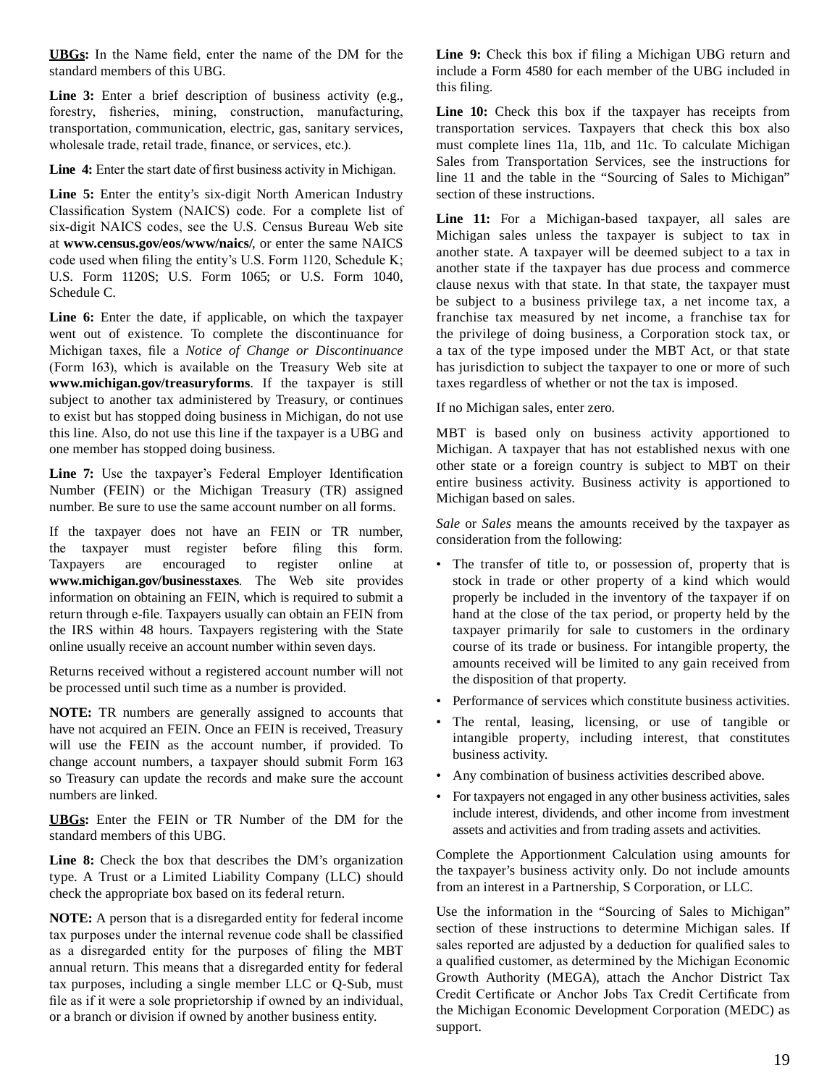**UBGs:** In the Name field, enter the name of the DM for the standard members of this UBG.

**Line 3:** Enter a brief description of business activity (e.g., forestry, fisheries, mining, construction, manufacturing, transportation, communication, electric, gas, sanitary services, wholesale trade, retail trade, finance, or services, etc.).

Line 4: Enter the start date of first business activity in Michigan.

**Line 5:** Enter the entity's six-digit North American Industry Classification System (NAICS) code. For a complete list of six-digit NAICS codes, see the U.S. Census Bureau Web site at **www.census.gov/eos/www/naics/**, or enter the same NAICS code used when filing the entity's U.S. Form 1120, Schedule K; U.S. Form 1120S; U.S. Form 1065; or U.S. Form 1040, Schedule C.

**Line 6:** Enter the date, if applicable, on which the taxpayer went out of existence. To complete the discontinuance for Michigan taxes, file a *Notice of Change or Discontinuance* (Form 163), which is available on the Treasury Web site at **www.michigan.gov/treasuryforms**. If the taxpayer is still subject to another tax administered by Treasury, or continues to exist but has stopped doing business in Michigan, do not use this line. Also, do not use this line if the taxpayer is a UBG and one member has stopped doing business.

**Line 7:** Use the taxpayer's Federal Employer Identification Number (FEIN) or the Michigan Treasury (TR) assigned number. Be sure to use the same account number on all forms.

If the taxpayer does not have an FEIN or TR number, the taxpayer must register before filing this form. Taxpayers are encouraged to register online at **www.michigan.gov/businesstaxes**. The Web site provides information on obtaining an FEIN, which is required to submit a return through e-file. Taxpayers usually can obtain an FEIN from the IRS within 48 hours. Taxpayers registering with the State online usually receive an account number within seven days.

Returns received without a registered account number will not be processed until such time as a number is provided.

**NOTE:** TR numbers are generally assigned to accounts that have not acquired an FEIN. Once an FEIN is received, Treasury will use the FEIN as the account number, if provided. To change account numbers, a taxpayer should submit Form 163 so Treasury can update the records and make sure the account numbers are linked.

**UBGs:** Enter the FEIN or TR Number of the DM for the standard members of this UBG.

Line 8: Check the box that describes the DM's organization type. A Trust or a Limited Liability Company (LLC) should check the appropriate box based on its federal return.

**NOTE:** A person that is a disregarded entity for federal income tax purposes under the internal revenue code shall be classified as a disregarded entity for the purposes of filing the MBT annual return. This means that a disregarded entity for federal tax purposes, including a single member LLC or Q-Sub, must file as if it were a sole proprietorship if owned by an individual, or a branch or division if owned by another business entity.

**Line 9:** Check this box if filing a Michigan UBG return and include a Form 4580 for each member of the UBG included in this filing.

Line 10: Check this box if the taxpayer has receipts from transportation services. Taxpayers that check this box also must complete lines 11a, 11b, and 11c. To calculate Michigan Sales from Transportation Services, see the instructions for line 11 and the table in the "Sourcing of Sales to Michigan" section of these instructions.

**Line 11:** For a Michigan-based taxpayer, all sales are Michigan sales unless the taxpayer is subject to tax in another state. A taxpayer will be deemed subject to a tax in another state if the taxpayer has due process and commerce clause nexus with that state. In that state, the taxpayer must be subject to a business privilege tax, a net income tax, a franchise tax measured by net income, a franchise tax for the privilege of doing business, a Corporation stock tax, or a tax of the type imposed under the MBT Act, or that state has jurisdiction to subject the taxpayer to one or more of such taxes regardless of whether or not the tax is imposed.

If no Michigan sales, enter zero.

MBT is based only on business activity apportioned to Michigan. A taxpayer that has not established nexus with one other state or a foreign country is subject to MBT on their entire business activity. Business activity is apportioned to Michigan based on sales.

*Sale* or *Sales* means the amounts received by the taxpayer as consideration from the following:

- The transfer of title to, or possession of, property that is stock in trade or other property of a kind which would properly be included in the inventory of the taxpayer if on hand at the close of the tax period, or property held by the taxpayer primarily for sale to customers in the ordinary course of its trade or business. For intangible property, the amounts received will be limited to any gain received from the disposition of that property.
- Performance of services which constitute business activities.
- The rental, leasing, licensing, or use of tangible or intangible property, including interest, that constitutes business activity.
- Any combination of business activities described above.
- For taxpayers not engaged in any other business activities, sales include interest, dividends, and other income from investment assets and activities and from trading assets and activities.

Complete the Apportionment Calculation using amounts for the taxpayer's business activity only. Do not include amounts from an interest in a Partnership, S Corporation, or LLC.

Use the information in the "Sourcing of Sales to Michigan" section of these instructions to determine Michigan sales. If sales reported are adjusted by a deduction for qualified sales to a qualified customer, as determined by the Michigan Economic Growth Authority (MEGA), attach the Anchor District Tax Credit Certificate or Anchor Jobs Tax Credit Certificate from the Michigan Economic Development Corporation (MEDC) as support.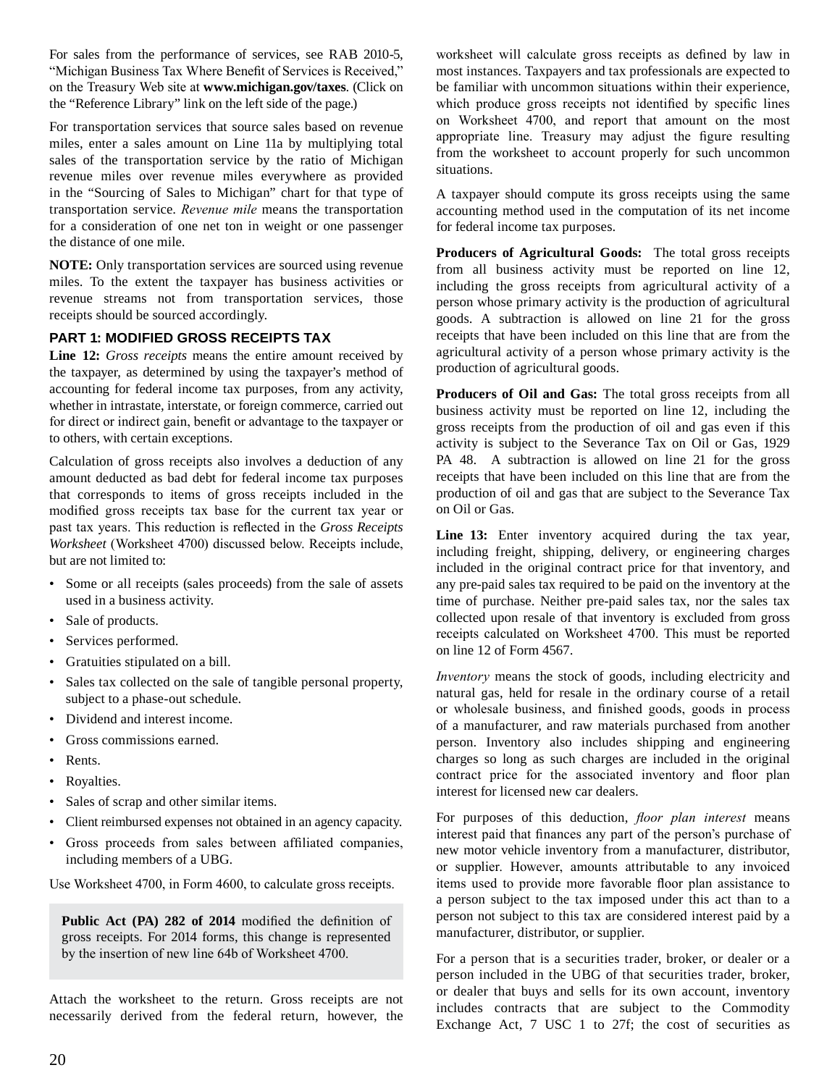For sales from the performance of services, see RAB 2010-5, "Michigan Business Tax Where Benefit of Services is Received," on the Treasury Web site at **www.michigan.gov/taxes**. (Click on the "Reference Library" link on the left side of the page.)

For transportation services that source sales based on revenue miles, enter a sales amount on Line 11a by multiplying total sales of the transportation service by the ratio of Michigan revenue miles over revenue miles everywhere as provided in the "Sourcing of Sales to Michigan" chart for that type of transportation service. *Revenue mile* means the transportation for a consideration of one net ton in weight or one passenger the distance of one mile.

**NOTE:** Only transportation services are sourced using revenue miles. To the extent the taxpayer has business activities or revenue streams not from transportation services, those receipts should be sourced accordingly.

# **PART 1: Modified Gross Receipts Tax**

**Line 12:** *Gross receipts* means the entire amount received by the taxpayer, as determined by using the taxpayer's method of accounting for federal income tax purposes, from any activity, whether in intrastate, interstate, or foreign commerce, carried out for direct or indirect gain, benefit or advantage to the taxpayer or to others, with certain exceptions.

Calculation of gross receipts also involves a deduction of any amount deducted as bad debt for federal income tax purposes that corresponds to items of gross receipts included in the modified gross receipts tax base for the current tax year or past tax years. This reduction is reflected in the *Gross Receipts Worksheet* (Worksheet 4700) discussed below. Receipts include, but are not limited to:

- Some or all receipts (sales proceeds) from the sale of assets used in a business activity.
- Sale of products.
- Services performed.
- Gratuities stipulated on a bill.
- Sales tax collected on the sale of tangible personal property, subject to a phase-out schedule.
- Dividend and interest income.
- Gross commissions earned.
- Rents.
- Royalties.
- Sales of scrap and other similar items.
- Client reimbursed expenses not obtained in an agency capacity.
- Gross proceeds from sales between affiliated companies, including members of a UBG.

Use Worksheet 4700, in Form 4600, to calculate gross receipts.

**Public Act (PA) 282 of 2014** modified the definition of gross receipts. For 2014 forms, this change is represented by the insertion of new line 64b of Worksheet 4700.

Attach the worksheet to the return. Gross receipts are not necessarily derived from the federal return, however, the worksheet will calculate gross receipts as defined by law in most instances. Taxpayers and tax professionals are expected to be familiar with uncommon situations within their experience, which produce gross receipts not identified by specific lines on Worksheet 4700, and report that amount on the most appropriate line. Treasury may adjust the figure resulting from the worksheet to account properly for such uncommon situations.

A taxpayer should compute its gross receipts using the same accounting method used in the computation of its net income for federal income tax purposes.

**Producers of Agricultural Goods:** The total gross receipts from all business activity must be reported on line 12, including the gross receipts from agricultural activity of a person whose primary activity is the production of agricultural goods. A subtraction is allowed on line 21 for the gross receipts that have been included on this line that are from the agricultural activity of a person whose primary activity is the production of agricultural goods.

**Producers of Oil and Gas:** The total gross receipts from all business activity must be reported on line 12, including the gross receipts from the production of oil and gas even if this activity is subject to the Severance Tax on Oil or Gas, 1929 PA 48. A subtraction is allowed on line 21 for the gross receipts that have been included on this line that are from the production of oil and gas that are subject to the Severance Tax on Oil or Gas.

**Line 13:** Enter inventory acquired during the tax year, including freight, shipping, delivery, or engineering charges included in the original contract price for that inventory, and any pre-paid sales tax required to be paid on the inventory at the time of purchase. Neither pre-paid sales tax, nor the sales tax collected upon resale of that inventory is excluded from gross receipts calculated on Worksheet 4700. This must be reported on line 12 of Form 4567.

*Inventory* means the stock of goods, including electricity and natural gas, held for resale in the ordinary course of a retail or wholesale business, and finished goods, goods in process of a manufacturer, and raw materials purchased from another person. Inventory also includes shipping and engineering charges so long as such charges are included in the original contract price for the associated inventory and floor plan interest for licensed new car dealers.

For purposes of this deduction, *floor plan interest* means interest paid that finances any part of the person's purchase of new motor vehicle inventory from a manufacturer, distributor, or supplier. However, amounts attributable to any invoiced items used to provide more favorable floor plan assistance to a person subject to the tax imposed under this act than to a person not subject to this tax are considered interest paid by a manufacturer, distributor, or supplier.

For a person that is a securities trader, broker, or dealer or a person included in the UBG of that securities trader, broker, or dealer that buys and sells for its own account, inventory includes contracts that are subject to the Commodity Exchange Act, 7 USC 1 to 27f; the cost of securities as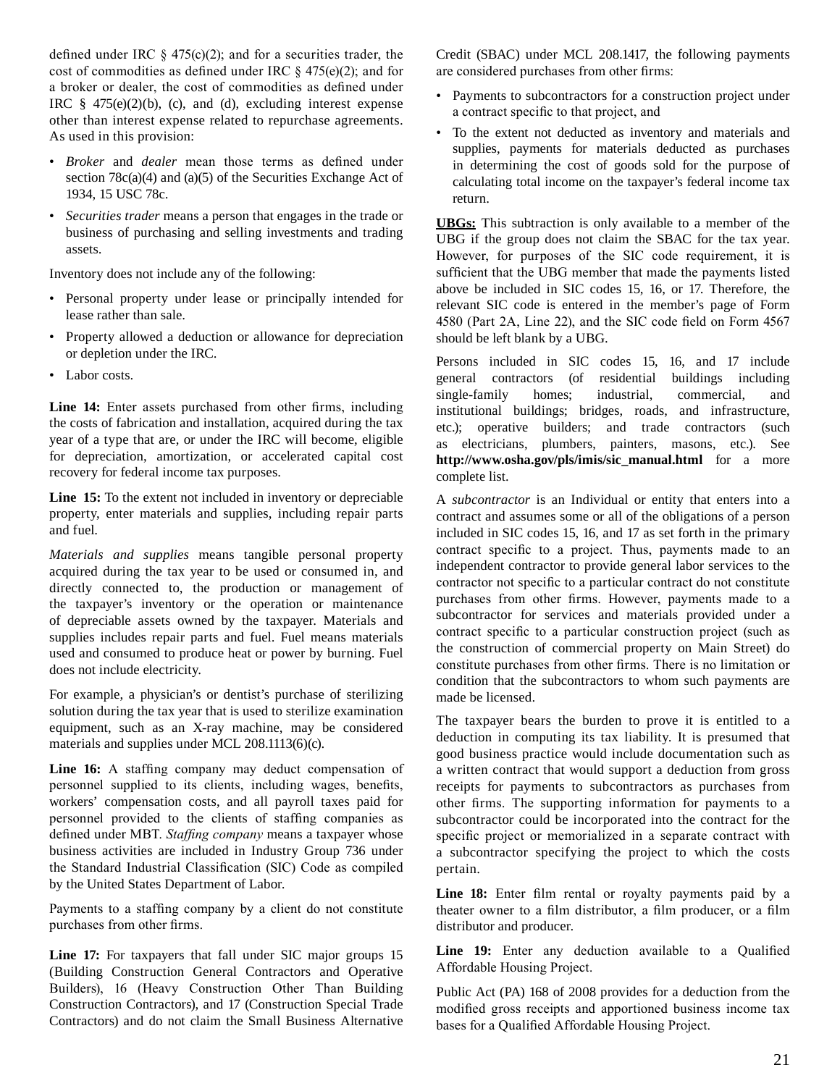defined under IRC  $\S$  475(c)(2); and for a securities trader, the cost of commodities as defined under IRC  $\S$  475(e)(2); and for a broker or dealer, the cost of commodities as defined under IRC  $§$  475(e)(2)(b), (c), and (d), excluding interest expense other than interest expense related to repurchase agreements. As used in this provision:

- *Broker* and *dealer* mean those terms as defined under section  $78c(a)(4)$  and  $(a)(5)$  of the Securities Exchange Act of 1934, 15 USC 78c.
- *Securities trader* means a person that engages in the trade or business of purchasing and selling investments and trading assets.

Inventory does not include any of the following:

- Personal property under lease or principally intended for lease rather than sale.
- Property allowed a deduction or allowance for depreciation or depletion under the IRC.
- Labor costs.

**Line 14:** Enter assets purchased from other firms, including the costs of fabrication and installation, acquired during the tax year of a type that are, or under the IRC will become, eligible for depreciation, amortization, or accelerated capital cost recovery for federal income tax purposes.

**Line 15:** To the extent not included in inventory or depreciable property, enter materials and supplies, including repair parts and fuel.

*Materials and supplies* means tangible personal property acquired during the tax year to be used or consumed in, and directly connected to, the production or management of the taxpayer's inventory or the operation or maintenance of depreciable assets owned by the taxpayer. Materials and supplies includes repair parts and fuel. Fuel means materials used and consumed to produce heat or power by burning. Fuel does not include electricity.

For example, a physician's or dentist's purchase of sterilizing solution during the tax year that is used to sterilize examination equipment, such as an X-ray machine, may be considered materials and supplies under MCL 208.1113(6)(c).

Line 16: A staffing company may deduct compensation of personnel supplied to its clients, including wages, benefits, workers' compensation costs, and all payroll taxes paid for personnel provided to the clients of staffing companies as defined under MBT. *Staffing company* means a taxpayer whose business activities are included in Industry Group 736 under the Standard Industrial Classification (SIC) Code as compiled by the United States Department of Labor.

Payments to a staffing company by a client do not constitute purchases from other firms.

**Line 17:** For taxpayers that fall under SIC major groups 15 (Building Construction General Contractors and Operative Builders), 16 (Heavy Construction Other Than Building Construction Contractors), and 17 (Construction Special Trade Contractors) and do not claim the Small Business Alternative Credit (SBAC) under MCL 208.1417, the following payments are considered purchases from other firms:

- Payments to subcontractors for a construction project under a contract specific to that project, and
- To the extent not deducted as inventory and materials and supplies, payments for materials deducted as purchases in determining the cost of goods sold for the purpose of calculating total income on the taxpayer's federal income tax return.

**UBGs:** This subtraction is only available to a member of the UBG if the group does not claim the SBAC for the tax year. However, for purposes of the SIC code requirement, it is sufficient that the UBG member that made the payments listed above be included in SIC codes 15, 16, or 17. Therefore, the relevant SIC code is entered in the member's page of Form 4580 (Part 2A, Line 22), and the SIC code field on Form 4567 should be left blank by a UBG.

Persons included in SIC codes 15, 16, and 17 include general contractors (of residential buildings including single-family homes; industrial, commercial, and institutional buildings; bridges, roads, and infrastructure, etc.); operative builders; and trade contractors (such as electricians, plumbers, painters, masons, etc.). See **http://www.osha.gov/pls/imis/sic\_manual.html** for a more complete list.

A *subcontractor* is an Individual or entity that enters into a contract and assumes some or all of the obligations of a person included in SIC codes 15, 16, and 17 as set forth in the primary contract specific to a project. Thus, payments made to an independent contractor to provide general labor services to the contractor not specific to a particular contract do not constitute purchases from other firms. However, payments made to a subcontractor for services and materials provided under a contract specific to a particular construction project (such as the construction of commercial property on Main Street) do constitute purchases from other firms. There is no limitation or condition that the subcontractors to whom such payments are made be licensed.

The taxpayer bears the burden to prove it is entitled to a deduction in computing its tax liability. It is presumed that good business practice would include documentation such as a written contract that would support a deduction from gross receipts for payments to subcontractors as purchases from other firms. The supporting information for payments to a subcontractor could be incorporated into the contract for the specific project or memorialized in a separate contract with a subcontractor specifying the project to which the costs pertain.

**Line 18:** Enter film rental or royalty payments paid by a theater owner to a film distributor, a film producer, or a film distributor and producer.

Line 19: Enter any deduction available to a Qualified Affordable Housing Project.

Public Act (PA) 168 of 2008 provides for a deduction from the modified gross receipts and apportioned business income tax bases for a Qualified Affordable Housing Project.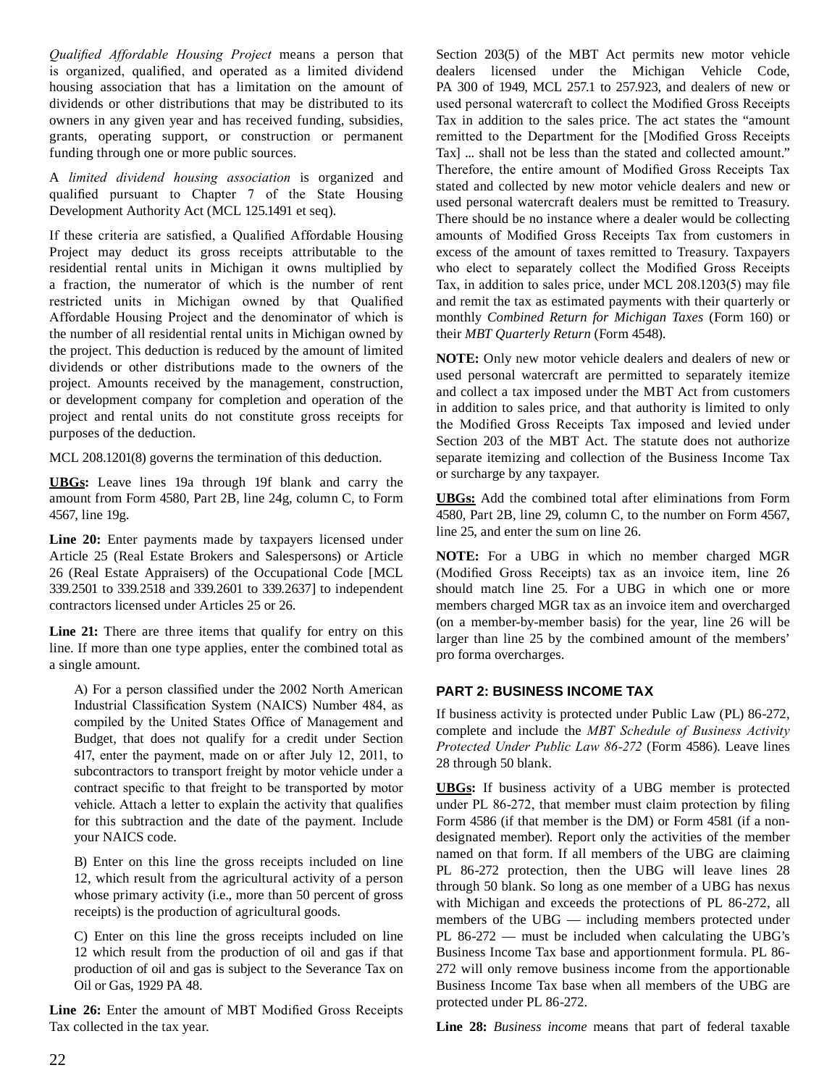*Qualified Affordable Housing Project* means a person that is organized, qualified, and operated as a limited dividend housing association that has a limitation on the amount of dividends or other distributions that may be distributed to its owners in any given year and has received funding, subsidies, grants, operating support, or construction or permanent funding through one or more public sources.

A *limited dividend housing association* is organized and qualified pursuant to Chapter 7 of the State Housing Development Authority Act (MCL 125.1491 et seq).

If these criteria are satisfied, a Qualified Affordable Housing Project may deduct its gross receipts attributable to the residential rental units in Michigan it owns multiplied by a fraction, the numerator of which is the number of rent restricted units in Michigan owned by that Qualified Affordable Housing Project and the denominator of which is the number of all residential rental units in Michigan owned by the project. This deduction is reduced by the amount of limited dividends or other distributions made to the owners of the project. Amounts received by the management, construction, or development company for completion and operation of the project and rental units do not constitute gross receipts for purposes of the deduction.

MCL 208.1201(8) governs the termination of this deduction.

**UBGs:** Leave lines 19a through 19f blank and carry the amount from Form 4580, Part 2B, line 24g, column C, to Form 4567, line 19g.

Line 20: Enter payments made by taxpayers licensed under Article 25 (Real Estate Brokers and Salespersons) or Article 26 (Real Estate Appraisers) of the Occupational Code [MCL 339.2501 to 339.2518 and 339.2601 to 339.2637] to independent contractors licensed under Articles 25 or 26.

**Line 21:** There are three items that qualify for entry on this line. If more than one type applies, enter the combined total as a single amount.

A) For a person classified under the 2002 North American Industrial Classification System (NAICS) Number 484, as compiled by the United States Office of Management and Budget, that does not qualify for a credit under Section 417, enter the payment, made on or after July 12, 2011, to subcontractors to transport freight by motor vehicle under a contract specific to that freight to be transported by motor vehicle. Attach a letter to explain the activity that qualifies for this subtraction and the date of the payment. Include your NAICS code.

B) Enter on this line the gross receipts included on line 12, which result from the agricultural activity of a person whose primary activity (i.e., more than 50 percent of gross receipts) is the production of agricultural goods.

C) Enter on this line the gross receipts included on line 12 which result from the production of oil and gas if that production of oil and gas is subject to the Severance Tax on Oil or Gas, 1929 PA 48.

**Line 26:** Enter the amount of MBT Modified Gross Receipts Tax collected in the tax year.

Section 203(5) of the MBT Act permits new motor vehicle dealers licensed under the Michigan Vehicle Code, PA 300 of 1949, MCL 257.1 to 257.923, and dealers of new or used personal watercraft to collect the Modified Gross Receipts Tax in addition to the sales price. The act states the "amount remitted to the Department for the [Modified Gross Receipts Tax] ... shall not be less than the stated and collected amount." Therefore, the entire amount of Modified Gross Receipts Tax stated and collected by new motor vehicle dealers and new or used personal watercraft dealers must be remitted to Treasury. There should be no instance where a dealer would be collecting amounts of Modified Gross Receipts Tax from customers in excess of the amount of taxes remitted to Treasury. Taxpayers who elect to separately collect the Modified Gross Receipts Tax, in addition to sales price, under MCL 208.1203(5) may file and remit the tax as estimated payments with their quarterly or monthly *Combined Return for Michigan Taxes* (Form 160) or their *MBT Quarterly Return* (Form 4548).

**NOTE:** Only new motor vehicle dealers and dealers of new or used personal watercraft are permitted to separately itemize and collect a tax imposed under the MBT Act from customers in addition to sales price, and that authority is limited to only the Modified Gross Receipts Tax imposed and levied under Section 203 of the MBT Act. The statute does not authorize separate itemizing and collection of the Business Income Tax or surcharge by any taxpayer.

**UBGs:** Add the combined total after eliminations from Form 4580, Part 2B, line 29, column C, to the number on Form 4567, line 25, and enter the sum on line 26.

**NOTE:** For a UBG in which no member charged MGR (Modified Gross Receipts) tax as an invoice item, line 26 should match line 25. For a UBG in which one or more members charged MGR tax as an invoice item and overcharged (on a member-by-member basis) for the year, line 26 will be larger than line 25 by the combined amount of the members' pro forma overcharges.

# **PART 2: BUSINESS INCOME TAX**

If business activity is protected under Public Law (PL) 86-272, complete and include the *MBT Schedule of Business Activity Protected Under Public Law 86-272* (Form 4586). Leave lines 28 through 50 blank.

**UBGs:** If business activity of a UBG member is protected under PL 86-272, that member must claim protection by filing Form 4586 (if that member is the DM) or Form 4581 (if a nondesignated member). Report only the activities of the member named on that form. If all members of the UBG are claiming PL 86-272 protection, then the UBG will leave lines 28 through 50 blank. So long as one member of a UBG has nexus with Michigan and exceeds the protections of PL 86-272, all members of the UBG — including members protected under PL 86-272 — must be included when calculating the UBG's Business Income Tax base and apportionment formula. PL 86- 272 will only remove business income from the apportionable Business Income Tax base when all members of the UBG are protected under PL 86-272.

**Line 28:** *Business income* means that part of federal taxable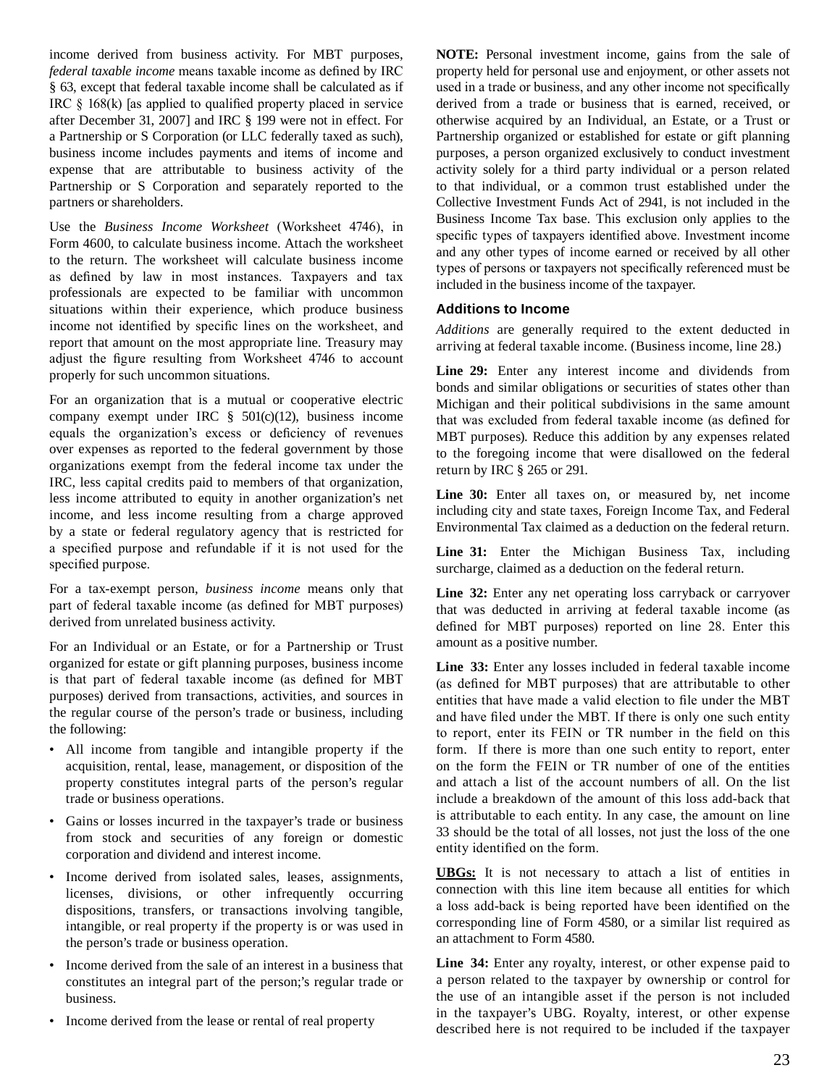income derived from business activity. For MBT purposes, *federal taxable income* means taxable income as defined by IRC § 63, except that federal taxable income shall be calculated as if IRC § 168(k) [as applied to qualified property placed in service after December 31, 2007] and IRC § 199 were not in effect. For a Partnership or S Corporation (or LLC federally taxed as such), business income includes payments and items of income and expense that are attributable to business activity of the Partnership or S Corporation and separately reported to the partners or shareholders.

Use the *Business Income Worksheet* (Worksheet 4746), in Form 4600, to calculate business income. Attach the worksheet to the return. The worksheet will calculate business income as defined by law in most instances. Taxpayers and tax professionals are expected to be familiar with uncommon situations within their experience, which produce business income not identified by specific lines on the worksheet, and report that amount on the most appropriate line. Treasury may adjust the figure resulting from Worksheet 4746 to account properly for such uncommon situations.

For an organization that is a mutual or cooperative electric company exempt under IRC  $\S$  501(c)(12), business income equals the organization's excess or deficiency of revenues over expenses as reported to the federal government by those organizations exempt from the federal income tax under the IRC, less capital credits paid to members of that organization, less income attributed to equity in another organization's net income, and less income resulting from a charge approved by a state or federal regulatory agency that is restricted for a specified purpose and refundable if it is not used for the specified purpose.

For a tax-exempt person, *business income* means only that part of federal taxable income (as defined for MBT purposes) derived from unrelated business activity.

For an Individual or an Estate, or for a Partnership or Trust organized for estate or gift planning purposes, business income is that part of federal taxable income (as defined for MBT purposes) derived from transactions, activities, and sources in the regular course of the person's trade or business, including the following:

- All income from tangible and intangible property if the acquisition, rental, lease, management, or disposition of the property constitutes integral parts of the person's regular trade or business operations.
- Gains or losses incurred in the taxpayer's trade or business from stock and securities of any foreign or domestic corporation and dividend and interest income.
- Income derived from isolated sales, leases, assignments, licenses, divisions, or other infrequently occurring dispositions, transfers, or transactions involving tangible, intangible, or real property if the property is or was used in the person's trade or business operation.
- Income derived from the sale of an interest in a business that constitutes an integral part of the person;'s regular trade or business.
- Income derived from the lease or rental of real property

**NOTE:** Personal investment income, gains from the sale of property held for personal use and enjoyment, or other assets not used in a trade or business, and any other income not specifically derived from a trade or business that is earned, received, or otherwise acquired by an Individual, an Estate, or a Trust or Partnership organized or established for estate or gift planning purposes, a person organized exclusively to conduct investment activity solely for a third party individual or a person related to that individual, or a common trust established under the Collective Investment Funds Act of 2941, is not included in the Business Income Tax base. This exclusion only applies to the specific types of taxpayers identified above. Investment income and any other types of income earned or received by all other types of persons or taxpayers not specifically referenced must be included in the business income of the taxpayer.

## **Additions to Income**

*Additions* are generally required to the extent deducted in arriving at federal taxable income. (Business income, line 28.)

**Line 29:** Enter any interest income and dividends from bonds and similar obligations or securities of states other than Michigan and their political subdivisions in the same amount that was excluded from federal taxable income (as defined for MBT purposes). Reduce this addition by any expenses related to the foregoing income that were disallowed on the federal return by IRC § 265 or 291.

**Line 30:** Enter all taxes on, or measured by, net income including city and state taxes, Foreign Income Tax, and Federal Environmental Tax claimed as a deduction on the federal return.

**Line 31:** Enter the Michigan Business Tax, including surcharge, claimed as a deduction on the federal return.

**Line 32:** Enter any net operating loss carryback or carryover that was deducted in arriving at federal taxable income (as defined for MBT purposes) reported on line 28. Enter this amount as a positive number.

**Line 33:** Enter any losses included in federal taxable income (as defined for MBT purposes) that are attributable to other entities that have made a valid election to file under the MBT and have filed under the MBT. If there is only one such entity to report, enter its FEIN or TR number in the field on this form. If there is more than one such entity to report, enter on the form the FEIN or TR number of one of the entities and attach a list of the account numbers of all. On the list include a breakdown of the amount of this loss add-back that is attributable to each entity. In any case, the amount on line 33 should be the total of all losses, not just the loss of the one entity identified on the form.

**UBGs:** It is not necessary to attach a list of entities in connection with this line item because all entities for which a loss add-back is being reported have been identified on the corresponding line of Form 4580, or a similar list required as an attachment to Form 4580.

**Line 34:** Enter any royalty, interest, or other expense paid to a person related to the taxpayer by ownership or control for the use of an intangible asset if the person is not included in the taxpayer's UBG. Royalty, interest, or other expense described here is not required to be included if the taxpayer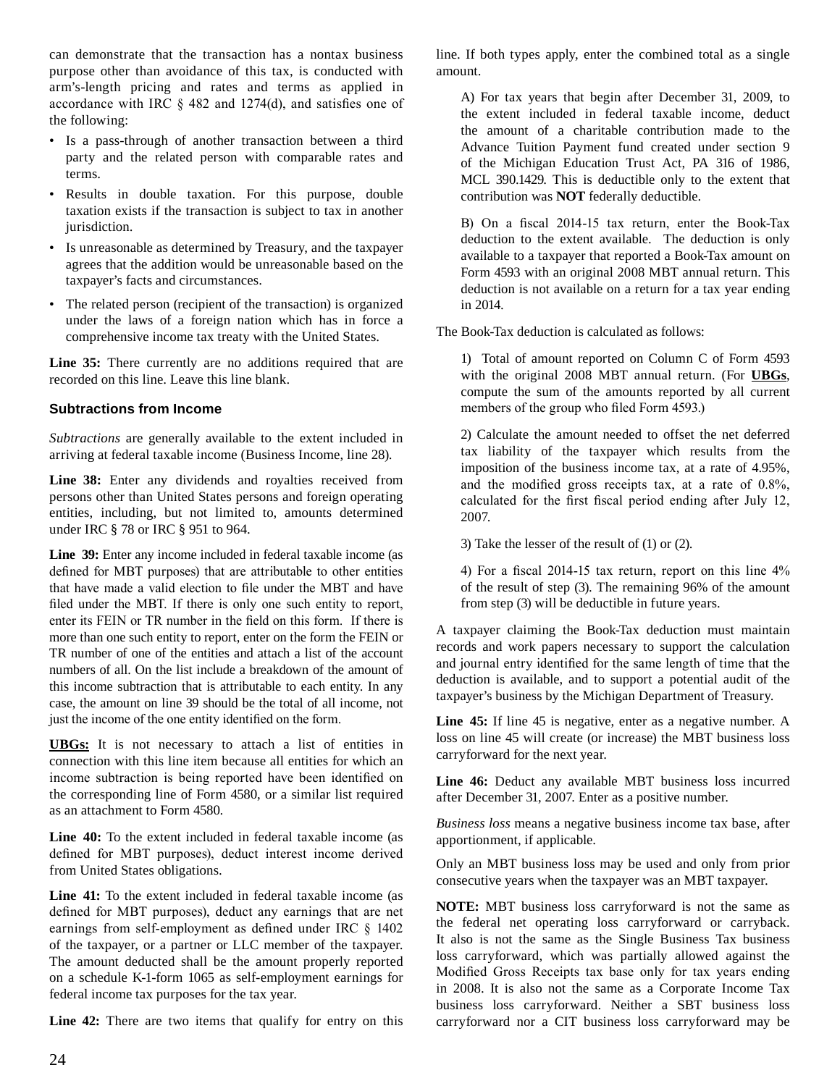can demonstrate that the transaction has a nontax business purpose other than avoidance of this tax, is conducted with arm's-length pricing and rates and terms as applied in accordance with IRC § 482 and 1274(d), and satisfies one of the following:

- Is a pass-through of another transaction between a third party and the related person with comparable rates and terms.
- Results in double taxation. For this purpose, double taxation exists if the transaction is subject to tax in another jurisdiction.
- Is unreasonable as determined by Treasury, and the taxpayer agrees that the addition would be unreasonable based on the taxpayer's facts and circumstances.
- The related person (recipient of the transaction) is organized under the laws of a foreign nation which has in force a comprehensive income tax treaty with the United States.

**Line 35:** There currently are no additions required that are recorded on this line. Leave this line blank.

## **Subtractions from Income**

*Subtractions* are generally available to the extent included in arriving at federal taxable income (Business Income, line 28).

**Line 38:** Enter any dividends and royalties received from persons other than United States persons and foreign operating entities, including, but not limited to, amounts determined under IRC § 78 or IRC § 951 to 964.

**Line 39:** Enter any income included in federal taxable income (as defined for MBT purposes) that are attributable to other entities that have made a valid election to file under the MBT and have filed under the MBT. If there is only one such entity to report, enter its FEIN or TR number in the field on this form. If there is more than one such entity to report, enter on the form the FEIN or TR number of one of the entities and attach a list of the account numbers of all. On the list include a breakdown of the amount of this income subtraction that is attributable to each entity. In any case, the amount on line 39 should be the total of all income, not just the income of the one entity identified on the form.

**UBGs:** It is not necessary to attach a list of entities in connection with this line item because all entities for which an income subtraction is being reported have been identified on the corresponding line of Form 4580, or a similar list required as an attachment to Form 4580.

**Line 40:** To the extent included in federal taxable income (as defined for MBT purposes), deduct interest income derived from United States obligations.

**Line 41:** To the extent included in federal taxable income (as defined for MBT purposes), deduct any earnings that are net earnings from self-employment as defined under IRC § 1402 of the taxpayer, or a partner or LLC member of the taxpayer. The amount deducted shall be the amount properly reported on a schedule K-1-form 1065 as self-employment earnings for federal income tax purposes for the tax year.

**Line 42:** There are two items that qualify for entry on this

line. If both types apply, enter the combined total as a single amount.

A) For tax years that begin after December 31, 2009, to the extent included in federal taxable income, deduct the amount of a charitable contribution made to the Advance Tuition Payment fund created under section 9 of the Michigan Education Trust Act, PA 316 of 1986, MCL 390.1429. This is deductible only to the extent that contribution was **NOT** federally deductible.

B) On a fiscal 2014-15 tax return, enter the Book-Tax deduction to the extent available. The deduction is only available to a taxpayer that reported a Book-Tax amount on Form 4593 with an original 2008 MBT annual return. This deduction is not available on a return for a tax year ending in 2014.

The Book-Tax deduction is calculated as follows:

1) Total of amount reported on Column C of Form 4593 with the original 2008 MBT annual return. (For **UBGs**, compute the sum of the amounts reported by all current members of the group who filed Form 4593.)

2) Calculate the amount needed to offset the net deferred tax liability of the taxpayer which results from the imposition of the business income tax, at a rate of 4.95%, and the modified gross receipts tax, at a rate of 0.8%, calculated for the first fiscal period ending after July 12, 2007.

3) Take the lesser of the result of (1) or (2).

4) For a fiscal 2014-15 tax return, report on this line 4% of the result of step (3). The remaining 96% of the amount from step (3) will be deductible in future years.

A taxpayer claiming the Book-Tax deduction must maintain records and work papers necessary to support the calculation and journal entry identified for the same length of time that the deduction is available, and to support a potential audit of the taxpayer's business by the Michigan Department of Treasury.

**Line 45:** If line 45 is negative, enter as a negative number. A loss on line 45 will create (or increase) the MBT business loss carryforward for the next year.

**Line 46:** Deduct any available MBT business loss incurred after December 31, 2007. Enter as a positive number.

*Business loss* means a negative business income tax base, after apportionment, if applicable.

Only an MBT business loss may be used and only from prior consecutive years when the taxpayer was an MBT taxpayer.

**NOTE:** MBT business loss carryforward is not the same as the federal net operating loss carryforward or carryback. It also is not the same as the Single Business Tax business loss carryforward, which was partially allowed against the Modified Gross Receipts tax base only for tax years ending in 2008. It is also not the same as a Corporate Income Tax business loss carryforward. Neither a SBT business loss carryforward nor a CIT business loss carryforward may be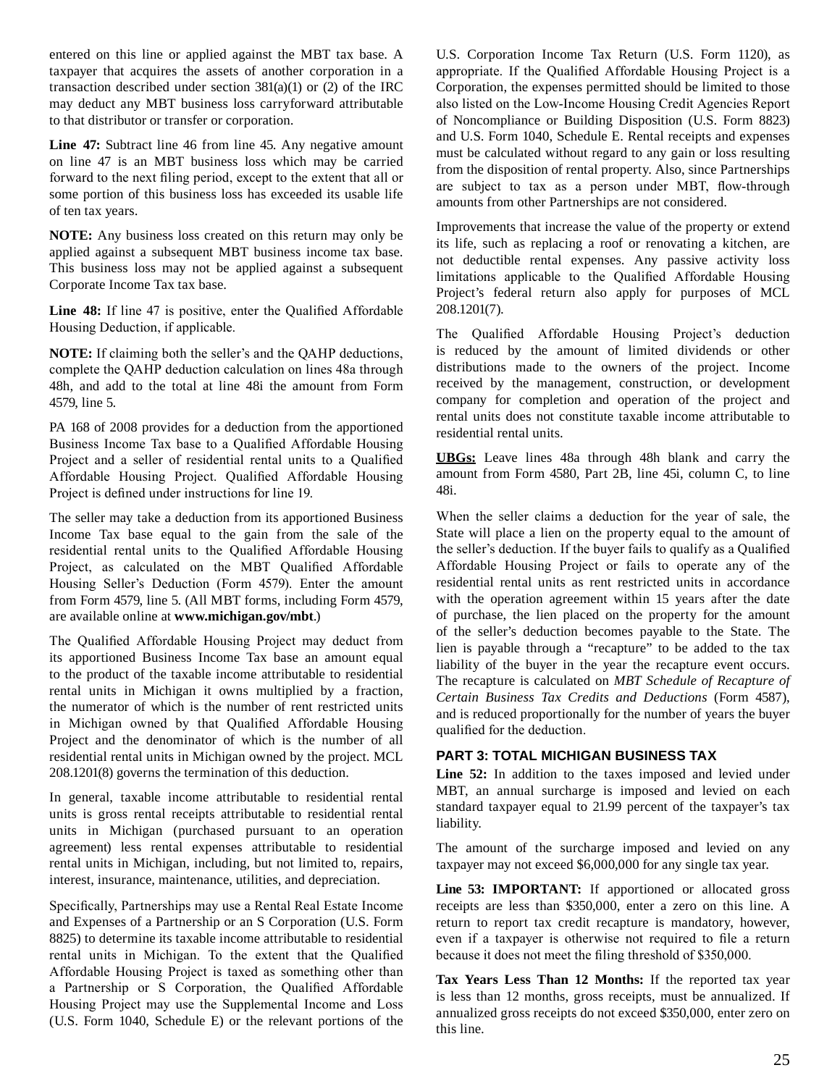entered on this line or applied against the MBT tax base. A taxpayer that acquires the assets of another corporation in a transaction described under section 381(a)(1) or (2) of the IRC may deduct any MBT business loss carryforward attributable to that distributor or transfer or corporation.

Line 47: Subtract line 46 from line 45. Any negative amount on line 47 is an MBT business loss which may be carried forward to the next filing period, except to the extent that all or some portion of this business loss has exceeded its usable life of ten tax years.

**NOTE:** Any business loss created on this return may only be applied against a subsequent MBT business income tax base. This business loss may not be applied against a subsequent Corporate Income Tax tax base.

**Line 48:** If line 47 is positive, enter the Qualified Affordable Housing Deduction, if applicable.

**NOTE:** If claiming both the seller's and the QAHP deductions, complete the QAHP deduction calculation on lines 48a through 48h, and add to the total at line 48i the amount from Form 4579, line 5.

PA 168 of 2008 provides for a deduction from the apportioned Business Income Tax base to a Qualified Affordable Housing Project and a seller of residential rental units to a Qualified Affordable Housing Project. Qualified Affordable Housing Project is defined under instructions for line 19.

The seller may take a deduction from its apportioned Business Income Tax base equal to the gain from the sale of the residential rental units to the Qualified Affordable Housing Project, as calculated on the MBT Qualified Affordable Housing Seller's Deduction (Form 4579). Enter the amount from Form 4579, line 5. (All MBT forms, including Form 4579, are available online at **www.michigan.gov/mbt**.)

The Qualified Affordable Housing Project may deduct from its apportioned Business Income Tax base an amount equal to the product of the taxable income attributable to residential rental units in Michigan it owns multiplied by a fraction, the numerator of which is the number of rent restricted units in Michigan owned by that Qualified Affordable Housing Project and the denominator of which is the number of all residential rental units in Michigan owned by the project. MCL 208.1201(8) governs the termination of this deduction.

In general, taxable income attributable to residential rental units is gross rental receipts attributable to residential rental units in Michigan (purchased pursuant to an operation agreement) less rental expenses attributable to residential rental units in Michigan, including, but not limited to, repairs, interest, insurance, maintenance, utilities, and depreciation.

Specifically, Partnerships may use a Rental Real Estate Income and Expenses of a Partnership or an S Corporation (U.S. Form 8825) to determine its taxable income attributable to residential rental units in Michigan. To the extent that the Qualified Affordable Housing Project is taxed as something other than a Partnership or S Corporation, the Qualified Affordable Housing Project may use the Supplemental Income and Loss (U.S. Form 1040, Schedule E) or the relevant portions of the U.S. Corporation Income Tax Return (U.S. Form 1120), as appropriate. If the Qualified Affordable Housing Project is a Corporation, the expenses permitted should be limited to those also listed on the Low-Income Housing Credit Agencies Report of Noncompliance or Building Disposition (U.S. Form 8823) and U.S. Form 1040, Schedule E. Rental receipts and expenses must be calculated without regard to any gain or loss resulting from the disposition of rental property. Also, since Partnerships are subject to tax as a person under MBT, flow‑through amounts from other Partnerships are not considered.

Improvements that increase the value of the property or extend its life, such as replacing a roof or renovating a kitchen, are not deductible rental expenses. Any passive activity loss limitations applicable to the Qualified Affordable Housing Project's federal return also apply for purposes of MCL 208.1201(7).

The Qualified Affordable Housing Project's deduction is reduced by the amount of limited dividends or other distributions made to the owners of the project. Income received by the management, construction, or development company for completion and operation of the project and rental units does not constitute taxable income attributable to residential rental units.

**UBGs:** Leave lines 48a through 48h blank and carry the amount from Form 4580, Part 2B, line 45i, column C, to line 48i.

When the seller claims a deduction for the year of sale, the State will place a lien on the property equal to the amount of the seller's deduction. If the buyer fails to qualify as a Qualified Affordable Housing Project or fails to operate any of the residential rental units as rent restricted units in accordance with the operation agreement within 15 years after the date of purchase, the lien placed on the property for the amount of the seller's deduction becomes payable to the State. The lien is payable through a "recapture" to be added to the tax liability of the buyer in the year the recapture event occurs. The recapture is calculated on *MBT Schedule of Recapture of Certain Business Tax Credits and Deductions* (Form 4587), and is reduced proportionally for the number of years the buyer qualified for the deduction.

## **PART 3: TOTAL MICHIGAN BUSINESS TAX**

**Line 52:** In addition to the taxes imposed and levied under MBT, an annual surcharge is imposed and levied on each standard taxpayer equal to 21.99 percent of the taxpayer's tax liability.

The amount of the surcharge imposed and levied on any taxpayer may not exceed \$6,000,000 for any single tax year.

**Line 53: Important:** If apportioned or allocated gross receipts are less than \$350,000, enter a zero on this line. A return to report tax credit recapture is mandatory, however, even if a taxpayer is otherwise not required to file a return because it does not meet the filing threshold of \$350,000.

**Tax Years Less Than 12 Months:** If the reported tax year is less than 12 months, gross receipts, must be annualized. If annualized gross receipts do not exceed \$350,000, enter zero on this line.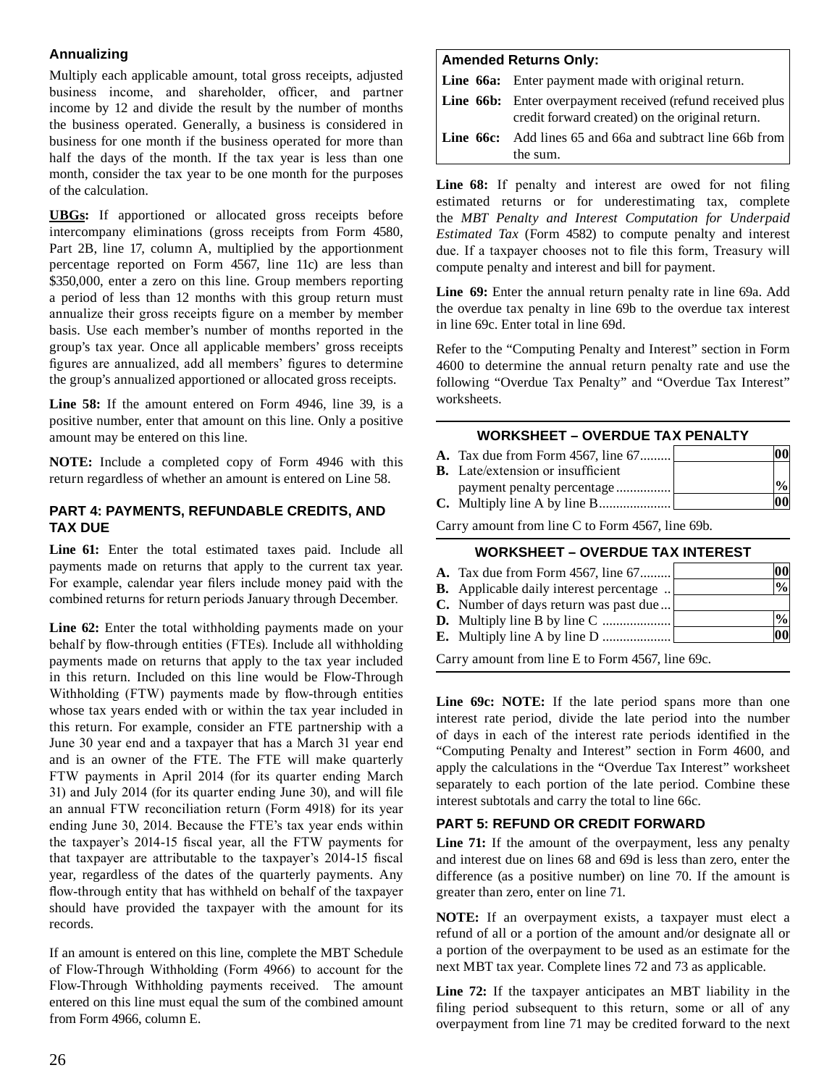# **Annualizing**

Multiply each applicable amount, total gross receipts, adjusted business income, and shareholder, officer, and partner income by 12 and divide the result by the number of months the business operated. Generally, a business is considered in business for one month if the business operated for more than half the days of the month. If the tax year is less than one month, consider the tax year to be one month for the purposes of the calculation.

**UBGs:** If apportioned or allocated gross receipts before intercompany eliminations (gross receipts from Form 4580, Part 2B, line 17, column A, multiplied by the apportionment percentage reported on Form 4567, line 11c) are less than \$350,000, enter a zero on this line. Group members reporting a period of less than 12 months with this group return must annualize their gross receipts figure on a member by member basis. Use each member's number of months reported in the group's tax year. Once all applicable members' gross receipts figures are annualized, add all members' figures to determine the group's annualized apportioned or allocated gross receipts.

**Line 58:** If the amount entered on Form 4946, line 39, is a positive number, enter that amount on this line. Only a positive amount may be entered on this line.

**NOTE:** Include a completed copy of Form 4946 with this return regardless of whether an amount is entered on Line 58.

## **PART 4: PAYMENTS, REFUNDABLE CREDITS, AND TAX DUE**

**Line 61:** Enter the total estimated taxes paid. Include all payments made on returns that apply to the current tax year. For example, calendar year filers include money paid with the combined returns for return periods January through December.

**Line 62:** Enter the total withholding payments made on your behalf by flow-through entities (FTEs). Include all withholding payments made on returns that apply to the tax year included in this return. Included on this line would be Flow-Through Withholding (FTW) payments made by flow-through entities whose tax years ended with or within the tax year included in this return. For example, consider an FTE partnership with a June 30 year end and a taxpayer that has a March 31 year end and is an owner of the FTE. The FTE will make quarterly FTW payments in April 2014 (for its quarter ending March 31) and July 2014 (for its quarter ending June 30), and will file an annual FTW reconciliation return (Form 4918) for its year ending June 30, 2014. Because the FTE's tax year ends within the taxpayer's 2014-15 fiscal year, all the FTW payments for that taxpayer are attributable to the taxpayer's 2014-15 fiscal year, regardless of the dates of the quarterly payments. Any flow-through entity that has withheld on behalf of the taxpayer should have provided the taxpayer with the amount for its records.

If an amount is entered on this line, complete the MBT Schedule of Flow-Through Withholding (Form 4966) to account for the Flow-Through Withholding payments received. The amount entered on this line must equal the sum of the combined amount from Form 4966, column E.

# **Amended Returns Only:**

**Line 66a:** Enter payment made with original return.

- **Line 66b:** Enter overpayment received (refund received plus credit forward created) on the original return.
- **Line 66c:** Add lines 65 and 66a and subtract line 66b from the sum.

**Line 68:** If penalty and interest are owed for not filing estimated returns or for underestimating tax, complete the *MBT Penalty and Interest Computation for Underpaid Estimated Tax* (Form 4582) to compute penalty and interest due. If a taxpayer chooses not to file this form, Treasury will compute penalty and interest and bill for payment.

**Line 69:** Enter the annual return penalty rate in line 69a. Add the overdue tax penalty in line 69b to the overdue tax interest in line 69c. Enter total in line 69d.

Refer to the "Computing Penalty and Interest" section in Form 4600 to determine the annual return penalty rate and use the following "Overdue Tax Penalty" and "Overdue Tax Interest" worksheets.

## **WORKSHEET – OVERDUE TAX PENALTY**

| <b>A.</b> Tax due from Form 4567, line 67 | 00 |
|-------------------------------------------|----|
| <b>B.</b> Late/extension or insufficient  |    |
|                                           |    |
|                                           | 00 |

Carry amount from line C to Form 4567, line 69b.

## **WORKSHEET – OVERDUE TAX INTEREST**

| <b>A.</b> Tax due from Form 4567, line 67      | 00            |
|------------------------------------------------|---------------|
| <b>B.</b> Applicable daily interest percentage | $\frac{0}{0}$ |
| <b>C.</b> Number of days return was past due   |               |
|                                                | $\frac{0}{0}$ |
|                                                | 00            |
|                                                |               |

Carry amount from line E to Form 4567, line 69c.

**Line 69c: NOTE:** If the late period spans more than one interest rate period, divide the late period into the number of days in each of the interest rate periods identified in the "Computing Penalty and Interest" section in Form 4600, and apply the calculations in the "Overdue Tax Interest" worksheet separately to each portion of the late period. Combine these interest subtotals and carry the total to line 66c.

## **PART 5: REFUND OR CREDIT FORWARD**

Line 71: If the amount of the overpayment, less any penalty and interest due on lines 68 and 69d is less than zero, enter the difference (as a positive number) on line 70. If the amount is greater than zero, enter on line 71.

**NOTE:** If an overpayment exists, a taxpayer must elect a refund of all or a portion of the amount and/or designate all or a portion of the overpayment to be used as an estimate for the next MBT tax year. Complete lines 72 and 73 as applicable.

**Line 72:** If the taxpayer anticipates an MBT liability in the filing period subsequent to this return, some or all of any overpayment from line 71 may be credited forward to the next